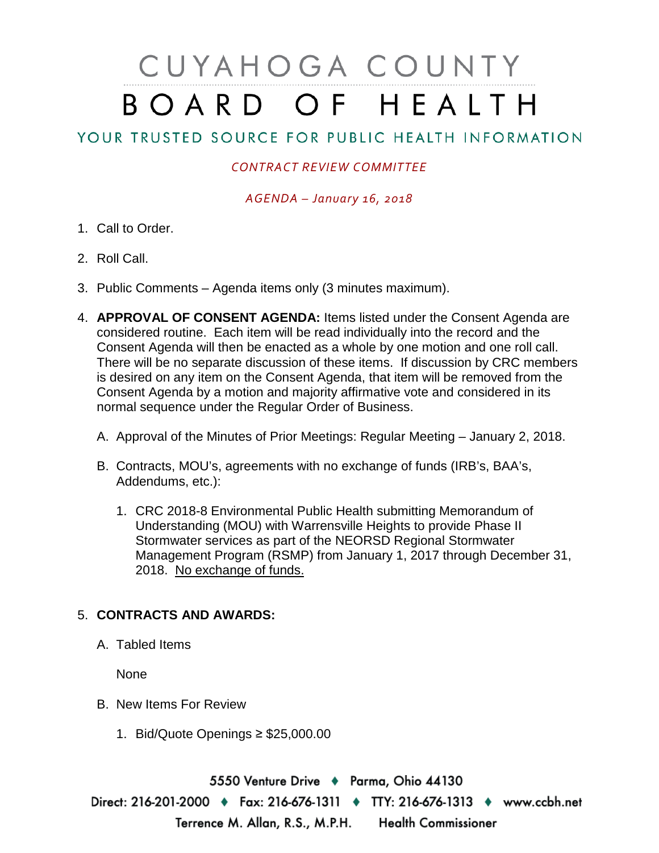# CUYAHOGA COUNTY BOARD OF HEALTH

## YOUR TRUSTED SOURCE FOR PUBLIC HEALTH INFORMATION

#### *CONTRACT REVIEW COMMITTEE*

*AGENDA – January 16, 2018*

- 1. Call to Order.
- 2. Roll Call.
- 3. Public Comments Agenda items only (3 minutes maximum).
- 4. **APPROVAL OF CONSENT AGENDA:** Items listed under the Consent Agenda are considered routine. Each item will be read individually into the record and the Consent Agenda will then be enacted as a whole by one motion and one roll call. There will be no separate discussion of these items. If discussion by CRC members is desired on any item on the Consent Agenda, that item will be removed from the Consent Agenda by a motion and majority affirmative vote and considered in its normal sequence under the Regular Order of Business.
	- A. Approval of the Minutes of Prior Meetings: Regular Meeting January 2, 2018.
	- B. Contracts, MOU's, agreements with no exchange of funds (IRB's, BAA's, Addendums, etc.):
		- 1. CRC 2018-8 Environmental Public Health submitting Memorandum of Understanding (MOU) with Warrensville Heights to provide Phase II Stormwater services as part of the NEORSD Regional Stormwater Management Program (RSMP) from January 1, 2017 through December 31, 2018. No exchange of funds.

### 5. **CONTRACTS AND AWARDS:**

A. Tabled Items

None

- B. New Items For Review
	- 1. Bid/Quote Openings ≥ \$25,000.00

5550 Venture Drive + Parma, Ohio 44130 Direct: 216-201-2000 • Fax: 216-676-1311 • TTY: 216-676-1313 • www.ccbh.net Terrence M. Allan, R.S., M.P.H. Health Commissioner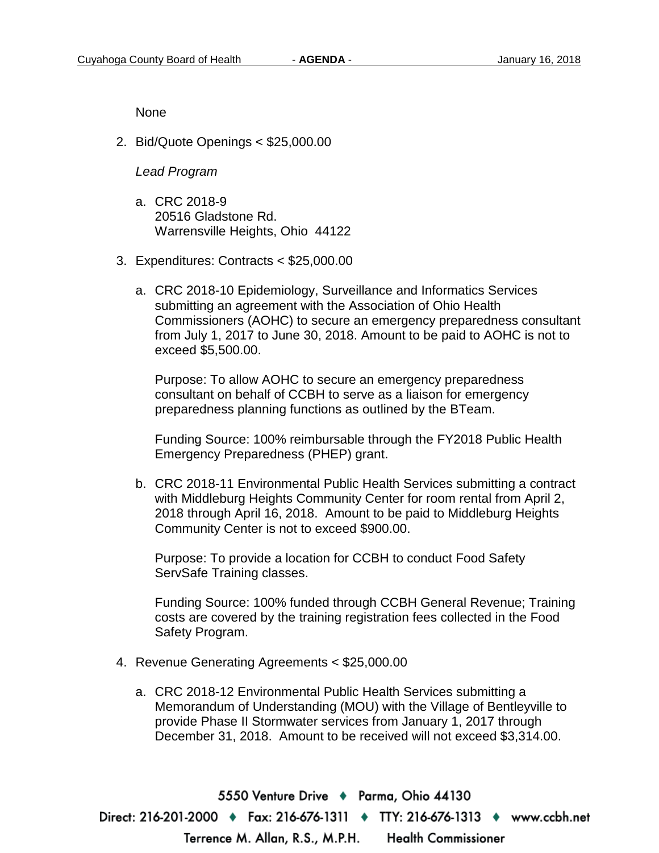None

2. Bid/Quote Openings < \$25,000.00

#### *Lead Program*

- a. CRC 2018-9 20516 Gladstone Rd. Warrensville Heights, Ohio 44122
- 3. Expenditures: Contracts < \$25,000.00
	- a. CRC 2018-10 Epidemiology, Surveillance and Informatics Services submitting an agreement with the Association of Ohio Health Commissioners (AOHC) to secure an emergency preparedness consultant from July 1, 2017 to June 30, 2018. Amount to be paid to AOHC is not to exceed \$5,500.00.

Purpose: To allow AOHC to secure an emergency preparedness consultant on behalf of CCBH to serve as a liaison for emergency preparedness planning functions as outlined by the BTeam.

Funding Source: 100% reimbursable through the FY2018 Public Health Emergency Preparedness (PHEP) grant.

b. CRC 2018-11 Environmental Public Health Services submitting a contract with Middleburg Heights Community Center for room rental from April 2, 2018 through April 16, 2018. Amount to be paid to Middleburg Heights Community Center is not to exceed \$900.00.

Purpose: To provide a location for CCBH to conduct Food Safety ServSafe Training classes.

Funding Source: 100% funded through CCBH General Revenue; Training costs are covered by the training registration fees collected in the Food Safety Program.

- 4. Revenue Generating Agreements < \$25,000.00
	- a. CRC 2018-12 Environmental Public Health Services submitting a Memorandum of Understanding (MOU) with the Village of Bentleyville to provide Phase II Stormwater services from January 1, 2017 through December 31, 2018. Amount to be received will not exceed \$3,314.00.

5550 Venture Drive + Parma, Ohio 44130 Direct: 216-201-2000 • Fax: 216-676-1311 • TTY: 216-676-1313 • www.ccbh.net Terrence M. Allan, R.S., M.P.H. **Health Commissioner**